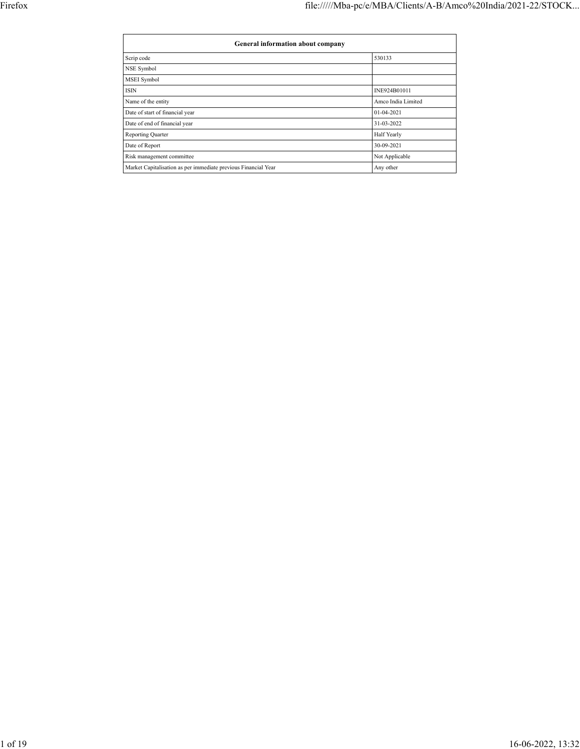| General information about company                              |                    |
|----------------------------------------------------------------|--------------------|
| Scrip code                                                     | 530133             |
| NSE Symbol                                                     |                    |
| MSEI Symbol                                                    |                    |
| <b>ISIN</b>                                                    | INE924B01011       |
| Name of the entity                                             | Amco India Limited |
| Date of start of financial year                                | $01-04-2021$       |
| Date of end of financial year                                  | 31-03-2022         |
| Reporting Quarter                                              | Half Yearly        |
| Date of Report                                                 | 30-09-2021         |
| Risk management committee                                      | Not Applicable     |
| Market Capitalisation as per immediate previous Financial Year | Any other          |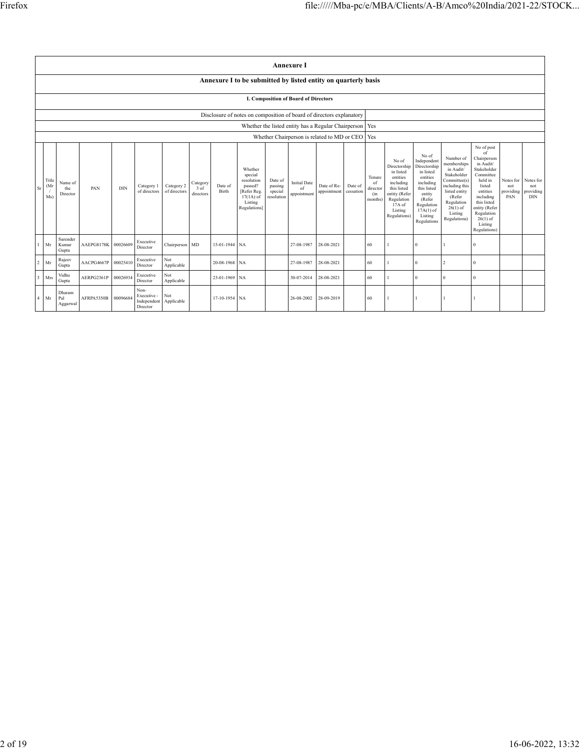|                         |                                                                      |                            |            |            |                                                |                            |                               |                  |                                                                                                      |                                             | <b>Annexure I</b>                                 |                            |                      |                                            |                                                                                                                                                |                                                                                                                                                                      |                                                                                                                                                                          |                                                                                                                                                                                                               |                                      |                                             |
|-------------------------|----------------------------------------------------------------------|----------------------------|------------|------------|------------------------------------------------|----------------------------|-------------------------------|------------------|------------------------------------------------------------------------------------------------------|---------------------------------------------|---------------------------------------------------|----------------------------|----------------------|--------------------------------------------|------------------------------------------------------------------------------------------------------------------------------------------------|----------------------------------------------------------------------------------------------------------------------------------------------------------------------|--------------------------------------------------------------------------------------------------------------------------------------------------------------------------|---------------------------------------------------------------------------------------------------------------------------------------------------------------------------------------------------------------|--------------------------------------|---------------------------------------------|
|                         | Annexure I to be submitted by listed entity on quarterly basis       |                            |            |            |                                                |                            |                               |                  |                                                                                                      |                                             |                                                   |                            |                      |                                            |                                                                                                                                                |                                                                                                                                                                      |                                                                                                                                                                          |                                                                                                                                                                                                               |                                      |                                             |
|                         | <b>I. Composition of Board of Directors</b>                          |                            |            |            |                                                |                            |                               |                  |                                                                                                      |                                             |                                                   |                            |                      |                                            |                                                                                                                                                |                                                                                                                                                                      |                                                                                                                                                                          |                                                                                                                                                                                                               |                                      |                                             |
|                         | Disclosure of notes on composition of board of directors explanatory |                            |            |            |                                                |                            |                               |                  |                                                                                                      |                                             |                                                   |                            |                      |                                            |                                                                                                                                                |                                                                                                                                                                      |                                                                                                                                                                          |                                                                                                                                                                                                               |                                      |                                             |
|                         | Whether the listed entity has a Regular Chairperson   Yes            |                            |            |            |                                                |                            |                               |                  |                                                                                                      |                                             |                                                   |                            |                      |                                            |                                                                                                                                                |                                                                                                                                                                      |                                                                                                                                                                          |                                                                                                                                                                                                               |                                      |                                             |
|                         |                                                                      |                            |            |            |                                                |                            |                               |                  |                                                                                                      |                                             | Whether Chairperson is related to MD or CEO   Yes |                            |                      |                                            |                                                                                                                                                |                                                                                                                                                                      |                                                                                                                                                                          |                                                                                                                                                                                                               |                                      |                                             |
| Sr                      | Title<br>(Mr)<br>Ms)                                                 | Name of<br>the<br>Director | PAN        | <b>DIN</b> | Category 1<br>of directors                     | Category 2<br>of directors | Category<br>3 of<br>directors | Date of<br>Birth | Whether<br>special<br>resolution<br>passed?<br>[Refer Reg.<br>$17(1A)$ of<br>Listing<br>Regulations] | Date of<br>passing<br>special<br>resolution | <b>Initial Date</b><br>of<br>appointment          | Date of Re-<br>appointment | Date of<br>cessation | Tenure<br>of<br>director<br>(in<br>months) | No of<br>Directorship<br>in listed<br>entities<br>including<br>this listed<br>entity (Refer<br>Regulation<br>17A of<br>Listing<br>Regulations) | No of<br>Independent<br>Directorship<br>in listed<br>entities<br>including<br>this listed<br>entity<br>(Refer<br>Regulation<br>$17A(1)$ of<br>Listing<br>Regulations | Number of<br>memberships<br>in Audit/<br>Stakeholder<br>Committee(s)<br>including this<br>listed entity<br>(Refer<br>Regulation<br>$26(1)$ of<br>Listing<br>Regulations) | No of post<br>of<br>Chairperson<br>in Audit/<br>Stakeholder<br>Committee<br>held in<br>listed<br>entities<br>including<br>this listed<br>entity (Refer<br>Regulation<br>$26(1)$ of<br>Listing<br>Regulations) | Notes for<br>not<br>providing<br>PAN | Notes for<br>not<br>providing<br><b>DIN</b> |
| -1                      | Mr                                                                   | Surender<br>Kumar<br>Gupta | AAEPG8178K | 00026609   | Executive<br>Director                          | Chairperson MD             |                               | 15-01-1944 NA    |                                                                                                      |                                             | 27-08-1987                                        | 28-08-2021                 |                      | 60                                         |                                                                                                                                                | $\Omega$                                                                                                                                                             |                                                                                                                                                                          | $\Omega$                                                                                                                                                                                                      |                                      |                                             |
| $\overline{2}$          | Mr                                                                   | Rajeev<br>Gupta            | AACPG4667P | 00025410   | Executive<br>Director                          | Not<br>Applicable          |                               | 20-08-1968 NA    |                                                                                                      |                                             | 27-08-1987                                        | 28-08-2021                 |                      | 60                                         |                                                                                                                                                | $\theta$                                                                                                                                                             | 2                                                                                                                                                                        | $\Omega$                                                                                                                                                                                                      |                                      |                                             |
| $\overline{\mathbf{3}}$ | Mrs                                                                  | Vidhu<br>Gupta             | AERPG2361P | 00026934   | Executive<br>Director                          | Not<br>Applicable          |                               | 23-01-1969 NA    |                                                                                                      |                                             | 30-07-2014                                        | 28-08-2021                 |                      | 60                                         |                                                                                                                                                | $\theta$                                                                                                                                                             | $\Omega$                                                                                                                                                                 | $\theta$                                                                                                                                                                                                      |                                      |                                             |
| $\overline{4}$          | Mr                                                                   | Dharam<br>Pal<br>Aggarwal  | AFRPA5350B | 00096684   | Non-<br>Executive -<br>Independent<br>Director | Not<br>Applicable          |                               | 17-10-1954 NA    |                                                                                                      |                                             | 26-08-2002                                        | 28-09-2019                 |                      | 60                                         |                                                                                                                                                |                                                                                                                                                                      |                                                                                                                                                                          |                                                                                                                                                                                                               |                                      |                                             |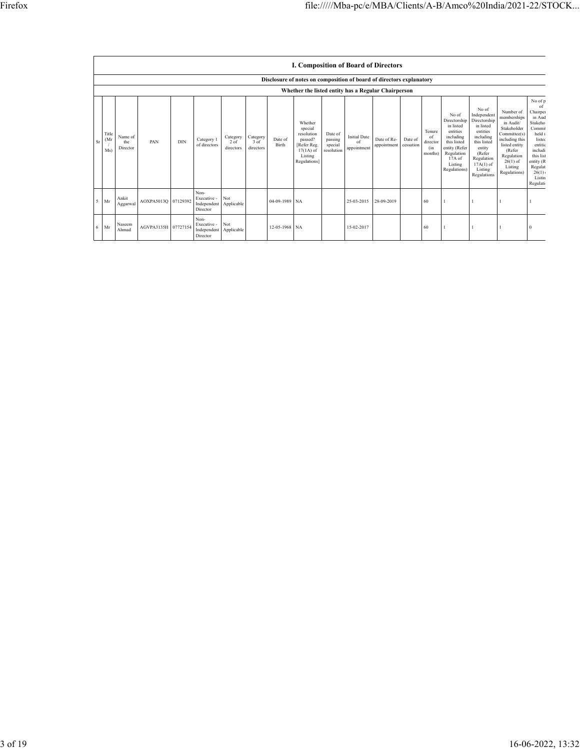|        |                                                     |                            |                     |     |                                                |                                 |                                 |                  | <b>I. Composition of Board of Directors</b>                                                          |                                             |                                          |                            |                      |                                            |                                                                                                                                                |                                                                                                                                                                      |                                                                                                                                                                          |                                                                                                                                                                       |
|--------|-----------------------------------------------------|----------------------------|---------------------|-----|------------------------------------------------|---------------------------------|---------------------------------|------------------|------------------------------------------------------------------------------------------------------|---------------------------------------------|------------------------------------------|----------------------------|----------------------|--------------------------------------------|------------------------------------------------------------------------------------------------------------------------------------------------|----------------------------------------------------------------------------------------------------------------------------------------------------------------------|--------------------------------------------------------------------------------------------------------------------------------------------------------------------------|-----------------------------------------------------------------------------------------------------------------------------------------------------------------------|
|        |                                                     |                            |                     |     |                                                |                                 |                                 |                  | Disclosure of notes on composition of board of directors explanatory                                 |                                             |                                          |                            |                      |                                            |                                                                                                                                                |                                                                                                                                                                      |                                                                                                                                                                          |                                                                                                                                                                       |
|        | Whether the listed entity has a Regular Chairperson |                            |                     |     |                                                |                                 |                                 |                  |                                                                                                      |                                             |                                          |                            |                      |                                            |                                                                                                                                                |                                                                                                                                                                      |                                                                                                                                                                          |                                                                                                                                                                       |
| Sr     | Title<br>(Mr)<br>Ms                                 | Name of<br>the<br>Director | PAN                 | DIN | Category 1<br>of directors                     | Category<br>$2$ of<br>directors | Category<br>$3$ of<br>directors | Date of<br>Birth | Whether<br>special<br>resolution<br>passed?<br>[Refer Reg.<br>$17(1A)$ of<br>Listing<br>Regulations] | Date of<br>passing<br>special<br>resolution | <b>Initial Date</b><br>of<br>appointment | Date of Re-<br>appointment | Date of<br>cessation | Tenure<br>of<br>director<br>(in<br>months) | No of<br>Directorship<br>in listed<br>entities<br>including<br>this listed<br>entity (Refer<br>Regulation<br>17A of<br>Listing<br>Regulations) | No of<br>Independent<br>Directorship<br>in listed<br>entities<br>including<br>this listed<br>entity<br>(Refer<br>Regulation<br>$17A(1)$ of<br>Listing<br>Regulations | Number of<br>memberships<br>in Audit/<br>Stakeholder<br>Committee(s)<br>including this<br>listed entity<br>(Refer<br>Regulation<br>$26(1)$ of<br>Listing<br>Regulations) | No of p<br>of<br>Chairper<br>in Aud<br>Stakeho<br>Commi<br>held i<br>listed<br>entitic<br>includi<br>this list<br>entity (R<br>Regulat<br>26(1)<br>Listin<br>Regulati |
| $\sim$ | Mr                                                  | Ankit<br>Aggarwal          | AOXPA5013O 07129392 |     | Non-<br>Executive -<br>Independent<br>Director | Not<br>Applicable               |                                 | 04-09-1989 NA    |                                                                                                      |                                             | 25-03-2015                               | 28-09-2019                 |                      | 60                                         |                                                                                                                                                |                                                                                                                                                                      |                                                                                                                                                                          |                                                                                                                                                                       |
| 6      | Mr                                                  | Naseem<br>Ahmad            | AGVPA3135H 07727154 |     | Non-<br>Executive -<br>Independent<br>Director | Not<br>Applicable               |                                 | 12-05-1968 NA    |                                                                                                      |                                             | 15-02-2017                               |                            |                      | 60                                         |                                                                                                                                                |                                                                                                                                                                      |                                                                                                                                                                          |                                                                                                                                                                       |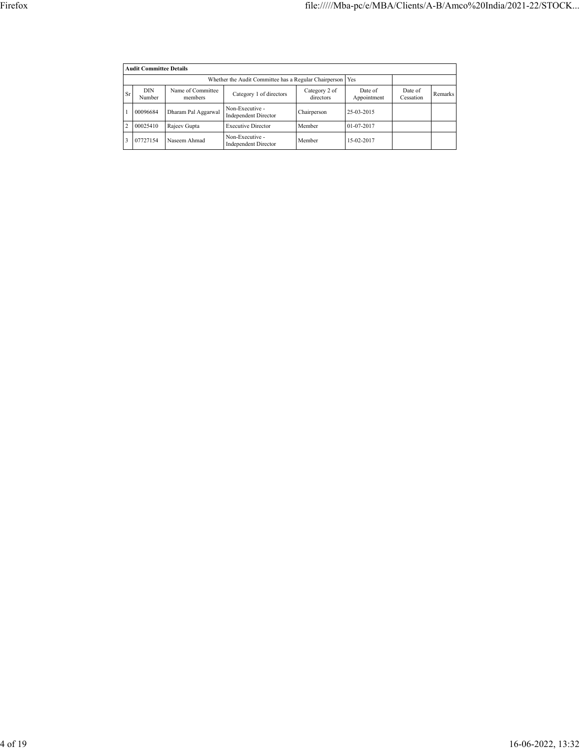|                | <b>Audit Committee Details</b> |                              |                                                |                            |                        |                      |                |  |  |  |  |  |
|----------------|--------------------------------|------------------------------|------------------------------------------------|----------------------------|------------------------|----------------------|----------------|--|--|--|--|--|
|                |                                |                              |                                                |                            |                        |                      |                |  |  |  |  |  |
| <b>Sr</b>      | <b>DIN</b><br>Number           | Name of Committee<br>members | Category 1 of directors                        | Category 2 of<br>directors | Date of<br>Appointment | Date of<br>Cessation | <b>Remarks</b> |  |  |  |  |  |
|                | 00096684                       | Dharam Pal Aggarwal          | Non-Executive -<br><b>Independent Director</b> | Chairperson                | 25-03-2015             |                      |                |  |  |  |  |  |
| $\overline{2}$ | 00025410                       | Rajeev Gupta                 | <b>Executive Director</b>                      | Member                     | 01-07-2017             |                      |                |  |  |  |  |  |
| 3              | 07727154                       | Naseem Ahmad                 | Non-Executive -<br><b>Independent Director</b> | Member                     | 15-02-2017             |                      |                |  |  |  |  |  |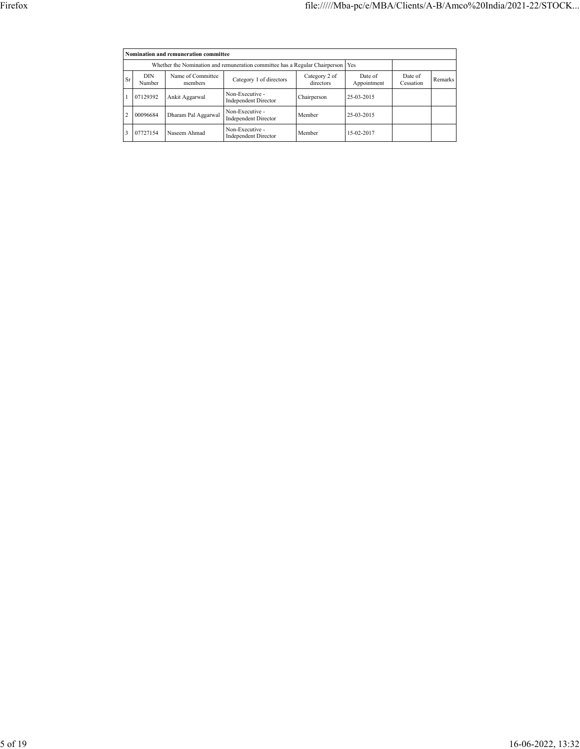|                | Nomination and remuneration committee |                                                                                   |                                                |                            |                        |                      |         |  |  |  |  |  |
|----------------|---------------------------------------|-----------------------------------------------------------------------------------|------------------------------------------------|----------------------------|------------------------|----------------------|---------|--|--|--|--|--|
|                |                                       | Whether the Nomination and remuneration committee has a Regular Chairperson   Yes |                                                |                            |                        |                      |         |  |  |  |  |  |
| Sr             | <b>DIN</b><br>Number                  | Name of Committee<br>members                                                      | Category 1 of directors                        | Category 2 of<br>directors | Date of<br>Appointment | Date of<br>Cessation | Remarks |  |  |  |  |  |
|                | 07129392                              | Ankit Aggarwal                                                                    | Non-Executive -<br><b>Independent Director</b> | Chairperson                | 25-03-2015             |                      |         |  |  |  |  |  |
| $\overline{c}$ | 00096684                              | Dharam Pal Aggarwal                                                               | Non-Executive -<br><b>Independent Director</b> | Member                     | 25-03-2015             |                      |         |  |  |  |  |  |
|                | 07727154                              | Naseem Ahmad                                                                      | Non-Executive -<br><b>Independent Director</b> | Member                     | 15-02-2017             |                      |         |  |  |  |  |  |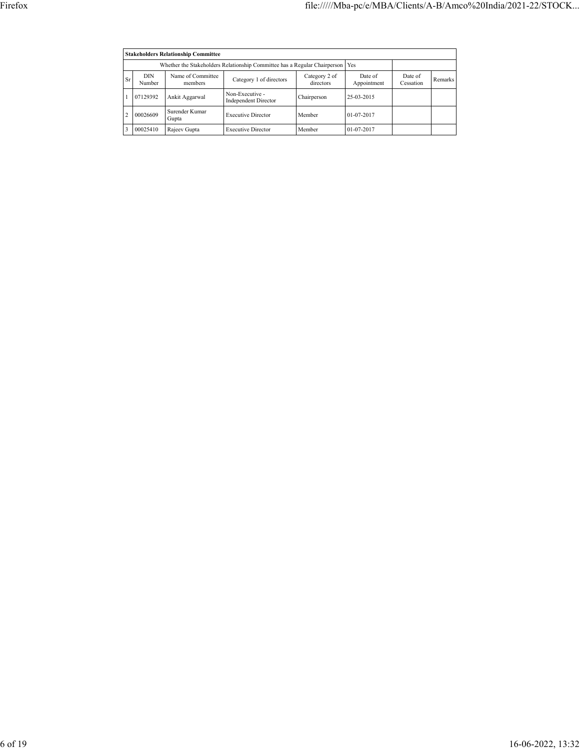|    | <b>Stakeholders Relationship Committee</b>                                      |                              |                                                |                            |                        |                      |         |  |  |  |  |  |
|----|---------------------------------------------------------------------------------|------------------------------|------------------------------------------------|----------------------------|------------------------|----------------------|---------|--|--|--|--|--|
|    | Whether the Stakeholders Relationship Committee has a Regular Chairperson   Yes |                              |                                                |                            |                        |                      |         |  |  |  |  |  |
| Sr | <b>DIN</b><br>Number                                                            | Name of Committee<br>members | Category 1 of directors                        | Category 2 of<br>directors | Date of<br>Appointment | Date of<br>Cessation | Remarks |  |  |  |  |  |
|    | 07129392                                                                        | Ankit Aggarwal               | Non-Executive -<br><b>Independent Director</b> | Chairperson                | 25-03-2015             |                      |         |  |  |  |  |  |
|    | 00026609                                                                        | Surender Kumar<br>Gupta      | <b>Executive Director</b>                      | Member                     | $01 - 07 - 2017$       |                      |         |  |  |  |  |  |
|    | 00025410                                                                        | Rajeev Gupta                 | <b>Executive Director</b>                      | Member                     | 01-07-2017             |                      |         |  |  |  |  |  |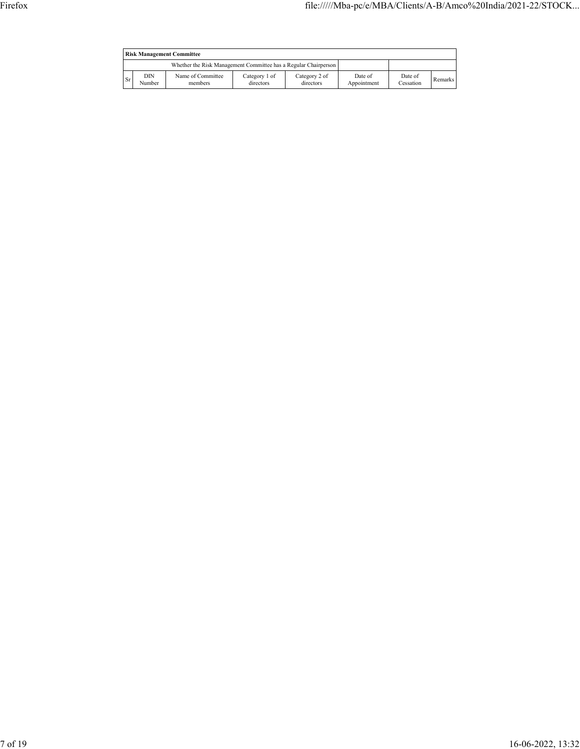|    | <b>Risk Management Committee</b> |                                                                 |                            |                            |                        |                      |                |  |  |  |  |  |
|----|----------------------------------|-----------------------------------------------------------------|----------------------------|----------------------------|------------------------|----------------------|----------------|--|--|--|--|--|
|    |                                  | Whether the Risk Management Committee has a Regular Chairperson |                            |                            |                        |                      |                |  |  |  |  |  |
| Sr | DIN<br>Number                    | Name of Committee<br>members                                    | Category 1 of<br>directors | Category 2 of<br>directors | Date of<br>Appointment | Date of<br>Cessation | <b>Remarks</b> |  |  |  |  |  |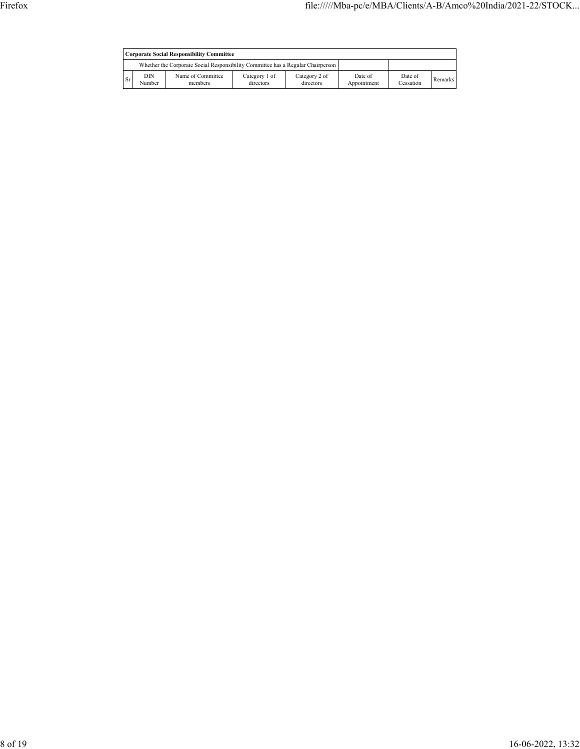|      | Corporate Social Responsibility Committee |                                                                                 |                            |                            |                        |                      |                |  |  |  |  |  |
|------|-------------------------------------------|---------------------------------------------------------------------------------|----------------------------|----------------------------|------------------------|----------------------|----------------|--|--|--|--|--|
|      |                                           | Whether the Corporate Social Responsibility Committee has a Regular Chairperson |                            |                            |                        |                      |                |  |  |  |  |  |
| l Sr | DIN<br>Number                             | Name of Committee<br>members                                                    | Category 1 of<br>directors | Category 2 of<br>directors | Date of<br>Appointment | Date of<br>Cessation | <b>Remarks</b> |  |  |  |  |  |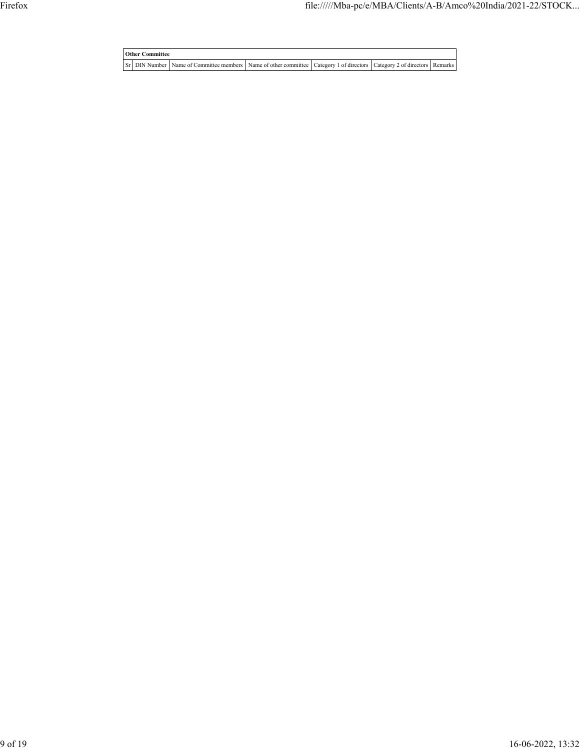**Other Committee** Sr DIN Number Name of Committee members Name of other committee Category 1 of directors Category 2 of directors Remarks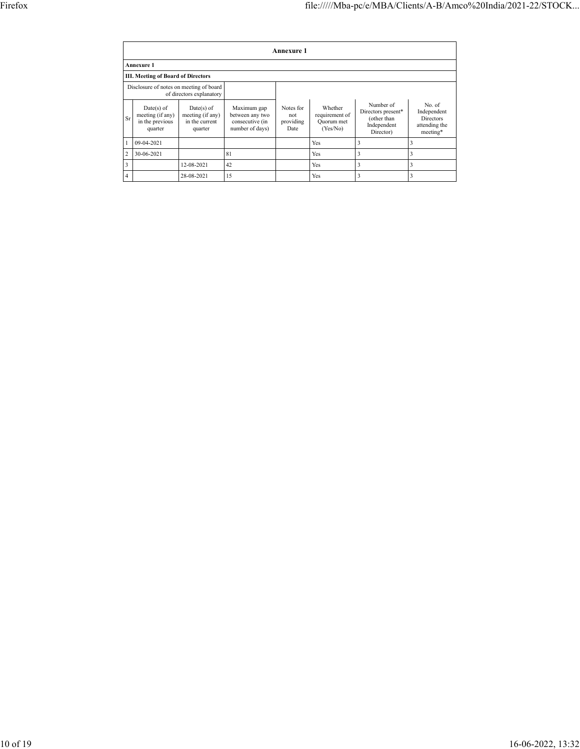|                | Annexure 1                                                          |                                                               |                                                                      |                                       |                                                     |                                                                            |                                                                        |  |  |  |  |  |  |
|----------------|---------------------------------------------------------------------|---------------------------------------------------------------|----------------------------------------------------------------------|---------------------------------------|-----------------------------------------------------|----------------------------------------------------------------------------|------------------------------------------------------------------------|--|--|--|--|--|--|
|                | <b>Annexure 1</b>                                                   |                                                               |                                                                      |                                       |                                                     |                                                                            |                                                                        |  |  |  |  |  |  |
|                | <b>III. Meeting of Board of Directors</b>                           |                                                               |                                                                      |                                       |                                                     |                                                                            |                                                                        |  |  |  |  |  |  |
|                | Disclosure of notes on meeting of board<br>of directors explanatory |                                                               |                                                                      |                                       |                                                     |                                                                            |                                                                        |  |  |  |  |  |  |
| Sr.            | $Date(s)$ of<br>meeting (if any)<br>in the previous<br>quarter      | $Date(s)$ of<br>meeting (if any)<br>in the current<br>quarter | Maximum gap<br>between any two<br>consecutive (in<br>number of days) | Notes for<br>not<br>providing<br>Date | Whether<br>requirement of<br>Quorum met<br>(Yes/No) | Number of<br>Directors present*<br>(other than<br>Independent<br>Director) | No. of<br>Independent<br><b>Directors</b><br>attending the<br>meeting* |  |  |  |  |  |  |
|                | 09-04-2021                                                          |                                                               |                                                                      |                                       | Yes                                                 | 3                                                                          | 3                                                                      |  |  |  |  |  |  |
| $\overline{c}$ | 30-06-2021                                                          |                                                               | 81                                                                   |                                       | Yes                                                 | 3                                                                          | 3                                                                      |  |  |  |  |  |  |
| 3              |                                                                     | 12-08-2021                                                    | 42                                                                   |                                       | Yes                                                 | 3                                                                          | 3                                                                      |  |  |  |  |  |  |
| 4              |                                                                     | 28-08-2021                                                    | 15                                                                   |                                       | Yes                                                 | 3                                                                          | 3                                                                      |  |  |  |  |  |  |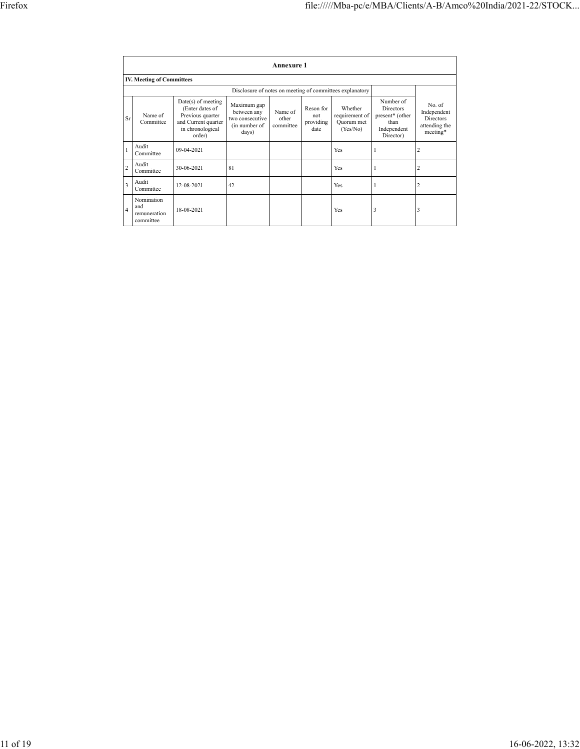|                |                                                |                                                                                                                |                                                                         | Annexure 1                    |                                       |                                                          |                                                                                      |                                                                        |
|----------------|------------------------------------------------|----------------------------------------------------------------------------------------------------------------|-------------------------------------------------------------------------|-------------------------------|---------------------------------------|----------------------------------------------------------|--------------------------------------------------------------------------------------|------------------------------------------------------------------------|
|                | <b>IV. Meeting of Committees</b>               |                                                                                                                |                                                                         |                               |                                       |                                                          |                                                                                      |                                                                        |
|                |                                                |                                                                                                                |                                                                         |                               |                                       | Disclosure of notes on meeting of committees explanatory |                                                                                      |                                                                        |
| Sr             | Name of<br>Committee                           | Date(s) of meeting<br>(Enter dates of<br>Previous quarter<br>and Current quarter<br>in chronological<br>order) | Maximum gap<br>between any<br>two consecutive<br>(in number of<br>days) | Name of<br>other<br>committee | Reson for<br>not<br>providing<br>date | Whether<br>requirement of<br>Quorum met<br>(Yes/No)      | Number of<br><b>Directors</b><br>present* (other<br>than<br>Independent<br>Director) | No. of<br>Independent<br><b>Directors</b><br>attending the<br>meeting* |
|                | Audit<br>Committee                             | 09-04-2021                                                                                                     |                                                                         |                               |                                       | Yes                                                      |                                                                                      | $\overline{2}$                                                         |
| $\overline{c}$ | Audit<br>Committee                             | 30-06-2021                                                                                                     | 81                                                                      |                               |                                       | Yes                                                      |                                                                                      | $\overline{2}$                                                         |
| 3              | Audit<br>Committee                             | 12-08-2021                                                                                                     | 42                                                                      |                               |                                       | Yes                                                      |                                                                                      | $\overline{2}$                                                         |
| $\overline{4}$ | Nomination<br>and<br>remuneration<br>committee | 18-08-2021                                                                                                     |                                                                         |                               |                                       | Yes                                                      | 3                                                                                    | 3                                                                      |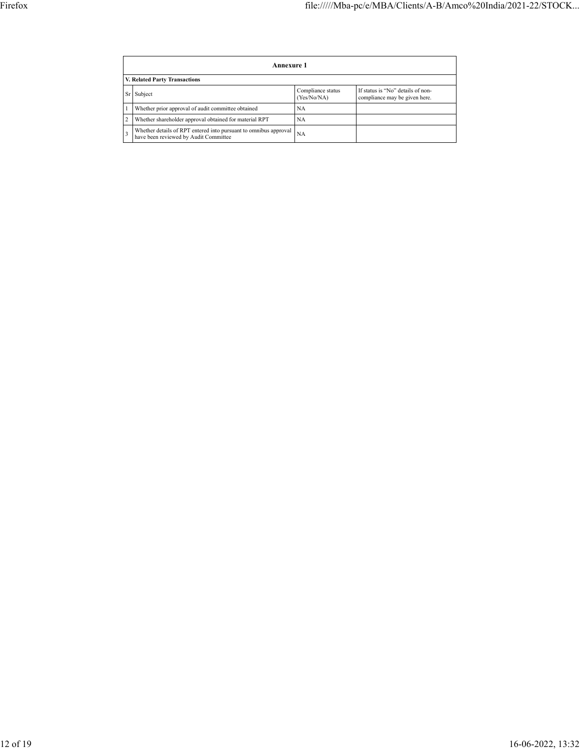| Annexure 1 |                                                                                                           |                                  |                                                                    |  |  |  |  |  |  |
|------------|-----------------------------------------------------------------------------------------------------------|----------------------------------|--------------------------------------------------------------------|--|--|--|--|--|--|
|            | V. Related Party Transactions                                                                             |                                  |                                                                    |  |  |  |  |  |  |
| Sr         | Subject                                                                                                   | Compliance status<br>(Yes/No/NA) | If status is "No" details of non-<br>compliance may be given here. |  |  |  |  |  |  |
|            | Whether prior approval of audit committee obtained                                                        | NA                               |                                                                    |  |  |  |  |  |  |
|            | Whether shareholder approval obtained for material RPT                                                    | <b>NA</b>                        |                                                                    |  |  |  |  |  |  |
|            | Whether details of RPT entered into pursuant to omnibus approval<br>have been reviewed by Audit Committee | <b>NA</b>                        |                                                                    |  |  |  |  |  |  |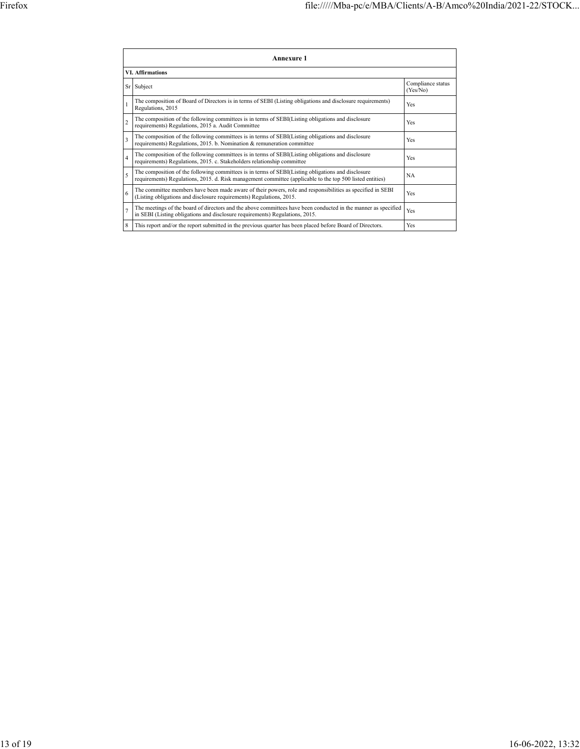|                | Annexure 1                                                                                                                                                                                                      |                               |  |  |  |  |  |  |  |  |
|----------------|-----------------------------------------------------------------------------------------------------------------------------------------------------------------------------------------------------------------|-------------------------------|--|--|--|--|--|--|--|--|
|                | <b>VI.</b> Affirmations                                                                                                                                                                                         |                               |  |  |  |  |  |  |  |  |
| Sr             | Subject                                                                                                                                                                                                         | Compliance status<br>(Yes/No) |  |  |  |  |  |  |  |  |
|                | The composition of Board of Directors is in terms of SEBI (Listing obligations and disclosure requirements)<br>Regulations, 2015                                                                                | Yes                           |  |  |  |  |  |  |  |  |
| $\overline{c}$ | The composition of the following committees is in terms of SEBI(Listing obligations and disclosure<br>requirements) Regulations, 2015 a. Audit Committee                                                        | Yes                           |  |  |  |  |  |  |  |  |
| $\overline{3}$ | The composition of the following committees is in terms of SEBI(Listing obligations and disclosure<br>requirements) Regulations, 2015. b. Nomination & remuneration committee                                   | Yes                           |  |  |  |  |  |  |  |  |
| $\overline{4}$ | The composition of the following committees is in terms of SEBI(Listing obligations and disclosure<br>requirements) Regulations, 2015. c. Stakeholders relationship committee                                   | Yes                           |  |  |  |  |  |  |  |  |
| 5              | The composition of the following committees is in terms of SEBI(Listing obligations and disclosure<br>requirements) Regulations, 2015. d. Risk management committee (applicable to the top 500 listed entities) | <b>NA</b>                     |  |  |  |  |  |  |  |  |
| 6              | The committee members have been made aware of their powers, role and responsibilities as specified in SEBI<br>(Listing obligations and disclosure requirements) Regulations, 2015.                              | Yes                           |  |  |  |  |  |  |  |  |
| $\overline{7}$ | The meetings of the board of directors and the above committees have been conducted in the manner as specified<br>in SEBI (Listing obligations and disclosure requirements) Regulations, 2015.                  | Yes                           |  |  |  |  |  |  |  |  |
| 8              | This report and/or the report submitted in the previous quarter has been placed before Board of Directors.                                                                                                      | Yes                           |  |  |  |  |  |  |  |  |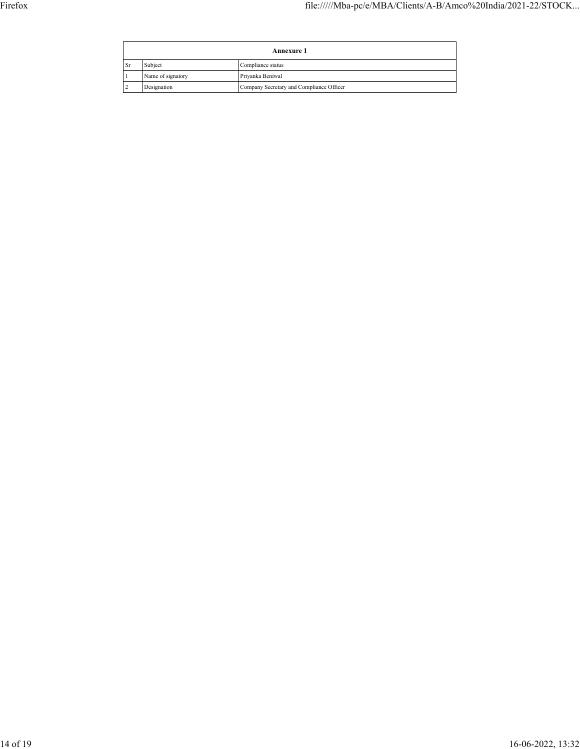| <b>Annexure 1</b> |                   |                                          |  |  |
|-------------------|-------------------|------------------------------------------|--|--|
| <b>Sr</b>         | Subject           | Compliance status                        |  |  |
|                   | Name of signatory | Priyanka Beniwal                         |  |  |
|                   | Designation       | Company Secretary and Compliance Officer |  |  |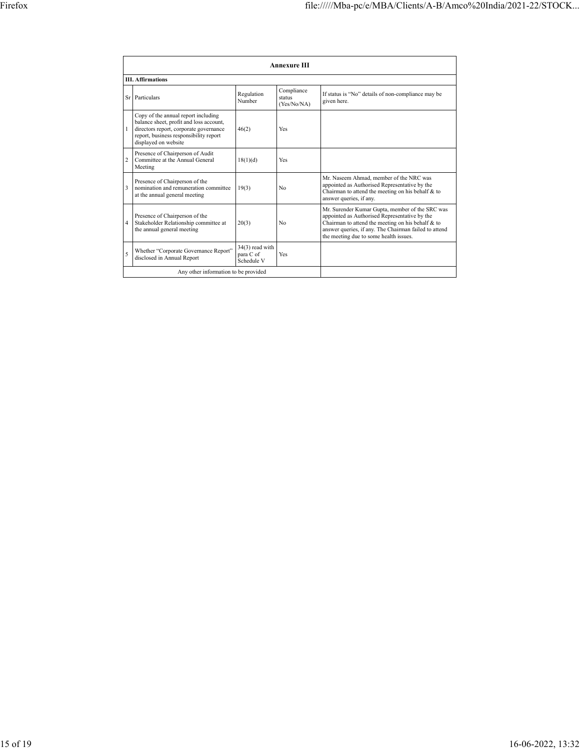|                | <b>Annexure III</b>                                                                                                                                                                        |                                              |                                     |                                                                                                                                                                                                                                                          |  |  |  |  |
|----------------|--------------------------------------------------------------------------------------------------------------------------------------------------------------------------------------------|----------------------------------------------|-------------------------------------|----------------------------------------------------------------------------------------------------------------------------------------------------------------------------------------------------------------------------------------------------------|--|--|--|--|
|                | <b>III.</b> Affirmations                                                                                                                                                                   |                                              |                                     |                                                                                                                                                                                                                                                          |  |  |  |  |
|                | Sr Particulars                                                                                                                                                                             | Regulation<br>Number                         | Compliance<br>status<br>(Yes/No/NA) | If status is "No" details of non-compliance may be<br>given here.                                                                                                                                                                                        |  |  |  |  |
|                | Copy of the annual report including<br>balance sheet, profit and loss account,<br>directors report, corporate governance<br>report, business responsibility report<br>displayed on website | 46(2)                                        | Yes                                 |                                                                                                                                                                                                                                                          |  |  |  |  |
| $\overline{c}$ | Presence of Chairperson of Audit<br>Committee at the Annual General<br>Meeting                                                                                                             | 18(1)(d)                                     | Yes                                 |                                                                                                                                                                                                                                                          |  |  |  |  |
| 3              | Presence of Chairperson of the<br>nomination and remuneration committee<br>at the annual general meeting                                                                                   | 19(3)                                        | No                                  | Mr. Naseem Ahmad, member of the NRC was<br>appointed as Authorised Representative by the<br>Chairman to attend the meeting on his behalf & to<br>answer queries, if any.                                                                                 |  |  |  |  |
| $\overline{4}$ | Presence of Chairperson of the<br>Stakeholder Relationship committee at<br>the annual general meeting                                                                                      | 20(3)                                        | No                                  | Mr. Surender Kumar Gupta, member of the SRC was<br>appointed as Authorised Representative by the<br>Chairman to attend the meeting on his behalf & to<br>answer queries, if any. The Chairman failed to attend<br>the meeting due to some health issues. |  |  |  |  |
| 5              | Whether "Corporate Governance Report"<br>disclosed in Annual Report                                                                                                                        | $34(3)$ read with<br>para C of<br>Schedule V | Yes                                 |                                                                                                                                                                                                                                                          |  |  |  |  |
|                | Any other information to be provided                                                                                                                                                       |                                              |                                     |                                                                                                                                                                                                                                                          |  |  |  |  |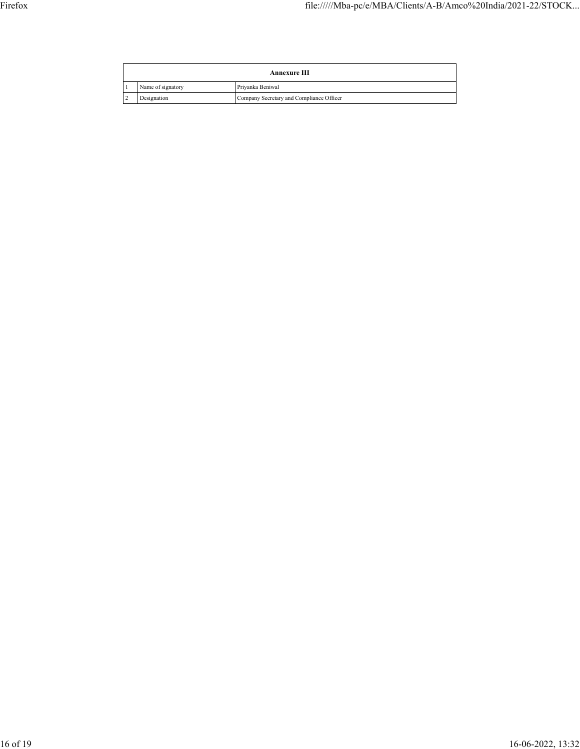| Annexure III      |                                          |  |
|-------------------|------------------------------------------|--|
| Name of signatory | Priyanka Beniwal                         |  |
| Designation       | Company Secretary and Compliance Officer |  |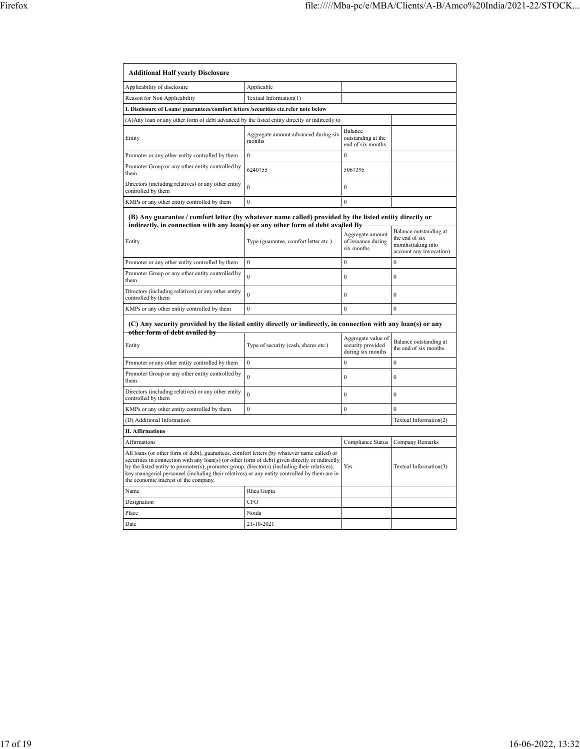| <b>Additional Half yearly Disclosure</b>                                                                                                                                                                                                                                                                                                                                                                                                |                                                |                                                      |                                                                                           |  |
|-----------------------------------------------------------------------------------------------------------------------------------------------------------------------------------------------------------------------------------------------------------------------------------------------------------------------------------------------------------------------------------------------------------------------------------------|------------------------------------------------|------------------------------------------------------|-------------------------------------------------------------------------------------------|--|
| Applicability of disclosure                                                                                                                                                                                                                                                                                                                                                                                                             | Applicable                                     |                                                      |                                                                                           |  |
| Reason for Non Applicability                                                                                                                                                                                                                                                                                                                                                                                                            | Textual Information(1)                         |                                                      |                                                                                           |  |
| I. Disclosure of Loans/ guarantees/comfort letters /securities etc.refer note below                                                                                                                                                                                                                                                                                                                                                     |                                                |                                                      |                                                                                           |  |
| (A) Any loan or any other form of debt advanced by the listed entity directly or indirectly to                                                                                                                                                                                                                                                                                                                                          |                                                |                                                      |                                                                                           |  |
| Entity                                                                                                                                                                                                                                                                                                                                                                                                                                  | Aggregate amount advanced during six<br>months | Balance<br>outstanding at the<br>end of six months   |                                                                                           |  |
| Promoter or any other entity controlled by them                                                                                                                                                                                                                                                                                                                                                                                         | $\theta$                                       | $\Omega$                                             |                                                                                           |  |
| Promoter Group or any other entity controlled by<br>them                                                                                                                                                                                                                                                                                                                                                                                | 6240755                                        | 5067395                                              |                                                                                           |  |
| Directors (including relatives) or any other entity<br>controlled by them                                                                                                                                                                                                                                                                                                                                                               | $\overline{0}$                                 | $\boldsymbol{0}$                                     |                                                                                           |  |
| KMPs or any other entity controlled by them                                                                                                                                                                                                                                                                                                                                                                                             | $\overline{0}$                                 | $\mathbf{0}$                                         |                                                                                           |  |
| (B) Any guarantee / comfort letter (by whatever name called) provided by the listed entity directly or<br>indirectly, in connection with any loan(s) or any other form of debt availed By<br>Entity                                                                                                                                                                                                                                     | Type (guarantee, comfort letter etc.)          | Aggregate amount<br>of issuance during<br>six months | Balance outstanding at<br>the end of six<br>months(taking into<br>account any invocation) |  |
| Promoter or any other entity controlled by them                                                                                                                                                                                                                                                                                                                                                                                         | $\mathbf{0}$                                   | $\mathbf{0}$                                         | $\mathbf{0}$                                                                              |  |
| Promoter Group or any other entity controlled by<br>them                                                                                                                                                                                                                                                                                                                                                                                | $\theta$                                       | $\theta$                                             | $\theta$                                                                                  |  |
| Directors (including relatives) or any other entity<br>controlled by them                                                                                                                                                                                                                                                                                                                                                               | $\theta$                                       | $\mathbf{0}$                                         | $\mathbf{0}$                                                                              |  |
| KMPs or any other entity controlled by them                                                                                                                                                                                                                                                                                                                                                                                             | $\overline{0}$                                 | $\mathbf{0}$                                         | $\overline{0}$                                                                            |  |
| (C) Any security provided by the listed entity directly or indirectly, in connection with any loan(s) or any<br>other form of debt availed by                                                                                                                                                                                                                                                                                           |                                                | Aggregate value of                                   |                                                                                           |  |
| Entity                                                                                                                                                                                                                                                                                                                                                                                                                                  | Type of security (cash, shares etc.)           | security provided<br>during six months               | Balance outstanding at<br>the end of six months                                           |  |
| Promoter or any other entity controlled by them                                                                                                                                                                                                                                                                                                                                                                                         | $\overline{0}$                                 | $\theta$                                             | $\theta$                                                                                  |  |
| Promoter Group or any other entity controlled by<br>them                                                                                                                                                                                                                                                                                                                                                                                | $\theta$                                       | $\mathbf{0}$                                         | $\theta$                                                                                  |  |
| Directors (including relatives) or any other entity<br>controlled by them                                                                                                                                                                                                                                                                                                                                                               | $\theta$                                       | $\mathbf{0}$                                         | $\mathbf{0}$                                                                              |  |
| KMPs or any other entity controlled by them                                                                                                                                                                                                                                                                                                                                                                                             | $\overline{0}$                                 | $\mathbf{0}$                                         | $\mathbf{0}$                                                                              |  |
| (D) Additional Information                                                                                                                                                                                                                                                                                                                                                                                                              |                                                | Textual Information(2)                               |                                                                                           |  |
| <b>II.</b> Affirmations                                                                                                                                                                                                                                                                                                                                                                                                                 |                                                |                                                      |                                                                                           |  |
| <b>Affirmations</b>                                                                                                                                                                                                                                                                                                                                                                                                                     | Compliance Status                              | Company Remarks                                      |                                                                                           |  |
| All loans (or other form of debt), guarantees, comfort letters (by whatever name called) or<br>securities in connection with any loan(s) (or other form of debt) given directly or indirectly<br>by the listed entity to promoter(s), promoter group, director(s) (including their relatives),<br>key managerial personnel (including their relatives) or any entity controlled by them are in<br>the economic interest of the company. |                                                | Yes                                                  | Textual Information(3)                                                                    |  |
| Name                                                                                                                                                                                                                                                                                                                                                                                                                                    | Rhea Gupta                                     |                                                      |                                                                                           |  |
| Designation                                                                                                                                                                                                                                                                                                                                                                                                                             | <b>CFO</b>                                     |                                                      |                                                                                           |  |
| Place                                                                                                                                                                                                                                                                                                                                                                                                                                   | Noida                                          |                                                      |                                                                                           |  |
| Date<br>21-10-2021                                                                                                                                                                                                                                                                                                                                                                                                                      |                                                |                                                      |                                                                                           |  |